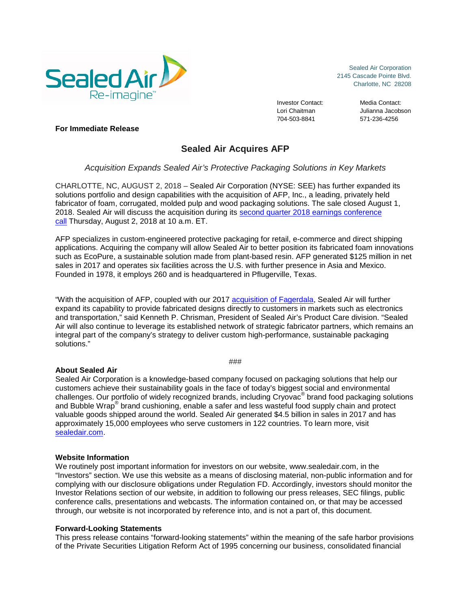

Sealed Air Corporation 2145 Cascade Pointe Blvd. Charlotte, NC 28208

Investor Contact: Media Contact: 704-503-8841

Lori Chaitman Julianna Jacobson

## **For Immediate Release**

# **Sealed Air Acquires AFP**

*Acquisition Expands Sealed Air's Protective Packaging Solutions in Key Markets*

CHARLOTTE, NC, AUGUST 2, 2018 – Sealed Air Corporation (NYSE: SEE) has further expanded its solutions portfolio and design capabilities with the acquisition of AFP, Inc., a leading, privately held fabricator of foam, corrugated, molded pulp and wood packaging solutions. The sale closed August 1, 2018. Sealed Air will discuss the acquisition during its [second quarter 2018 earnings](http://ir.sealedair.com/phoenix.zhtml?c=104693&p=irol-EventDetails&EventId=5272271) conference [call](http://ir.sealedair.com/phoenix.zhtml?c=104693&p=irol-EventDetails&EventId=5272271) Thursday, August 2, 2018 at 10 a.m. ET. 

AFP specializes in custom-engineered protective packaging for retail, e-commerce and direct shipping applications. Acquiring the company will allow Sealed Air to better position its fabricated foam innovations such as EcoPure, a sustainable solution made from plant-based resin. AFP generated \$125 million in net sales in 2017 and operates six facilities across the U.S. with further presence in Asia and Mexico. Founded in 1978, it employs 260 and is headquartered in Pflugerville, Texas.

"With the acquisition of AFP, coupled with our 2017 [acquisition of Fagerdala,](https://sealedair.com/media-center/news/sealed-air-acquire-asian-specialty-foam-business) Sealed Air will further expand its capability to provide fabricated designs directly to customers in markets such as electronics and transportation," said Kenneth P. Chrisman, President of Sealed Air's Product Care division. "Sealed Air will also continue to leverage its established network of strategic fabricator partners, which remains an integral part of the company's strategy to deliver custom high-performance, sustainable packaging solutions."

###

### **About Sealed Air**

Sealed Air Corporation is a knowledge-based company focused on packaging solutions that help our customers achieve their sustainability goals in the face of today's biggest social and environmental challenges. Our portfolio of widely recognized brands, including Cryovac® brand food packaging solutions and Bubble Wrap® brand cushioning, enable a safer and less wasteful food supply chain and protect valuable goods shipped around the world. Sealed Air generated \$4.5 billion in sales in 2017 and has approximately 15,000 employees who serve customers in 122 countries. To learn more, visit [sealedair.com.](http://www.sealedair.com/)

### **Website Information**

We routinely post important information for investors on our website, www.sealedair.com, in the "Investors" section. We use this website as a means of disclosing material, non-public information and for complying with our disclosure obligations under Regulation FD. Accordingly, investors should monitor the Investor Relations section of our website, in addition to following our press releases, SEC filings, public conference calls, presentations and webcasts. The information contained on, or that may be accessed through, our website is not incorporated by reference into, and is not a part of, this document.

### **Forward-Looking Statements**

This press release contains "forward-looking statements" within the meaning of the safe harbor provisions of the Private Securities Litigation Reform Act of 1995 concerning our business, consolidated financial